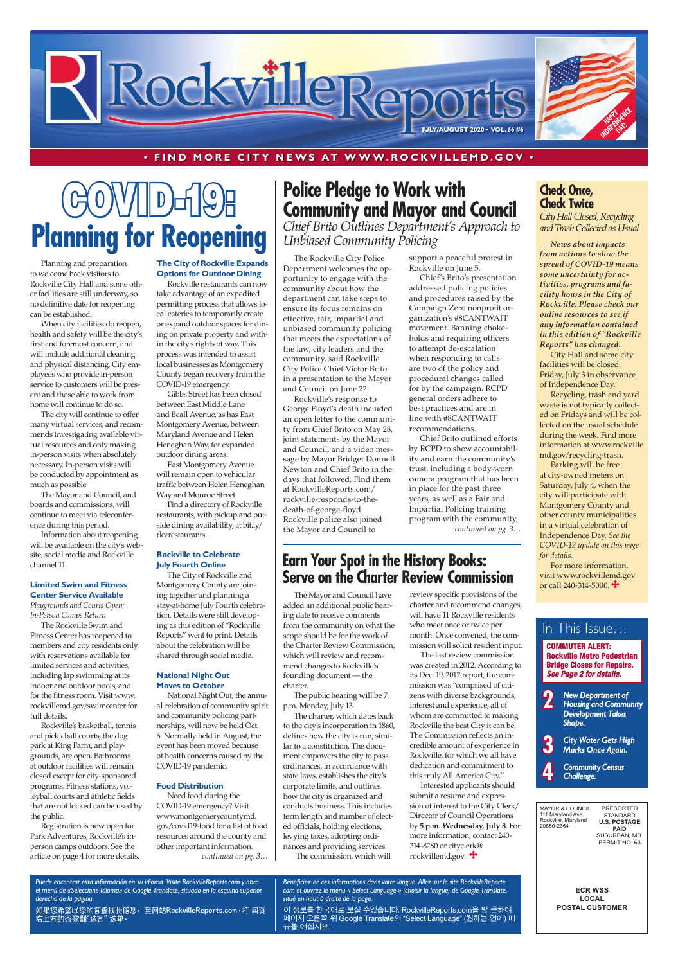**ECR WSS LOCAL POSTAL CUSTOMER**

MAYOR & COUNCIL 111 Maryland Ave. Rockville, Maryland 20850-2364 PRESORTED STANDARD **U.S. POSTAGE PAID** SUBURBAN, MD. PERMIT NO. 63

# $V/\llbracket D \rrbracket$ **Planning for Reopening**

### **• FIND MORE CITY NEWS AT W W W.ROCKVILLEMD.GOV •**

### **Check Once, Check Twice**

*City Hall Closed, Recycling and Trash Collected as Usual*

*News about impacts from actions to slow the spread of COVID-19 means some uncertainty for activities, programs and facility hours in the City of Rockville. Please check our online resources to see if any information contained in this edition of "Rockville Reports" has changed.*

For more information, visit www.rockvillemd.gov or call 240-314-5000.

City Hall and some city facilities will be closed Friday, July 3 in observance of Independence Day.

Recycling, trash and yard waste is not typically collected on Fridays and will be collected on the usual schedule during the week. Find more information at www.rockville md.gov/recycling-trash.

Parking will be free at city-owned meters on Saturday, July 4, when the city will participate with Montgomery County and other county municipalities in a virtual celebration of Independence Day. *See the COVID-19 update on this page for details.*

*Puede encontrar esta información en su idioma. Visite RockvilleReports.com y abra el menú de «Seleccione Idioma» de Google Translate, situado en la esquina superior derecha de la página.*

如果您希望以您的语言查找此信息, 至网站RockvilleReports.com,打 网页 右上方的谷歌翻"选语言" 选单。

The last review commission was created in 2012. According to its Dec. 19, 2012 report, the commission was "comprised of citizens with diverse backgrounds, interest and experience, all of whom are committed to making Rockville the best City it can be. The Commission reflects an incredible amount of experience in Rockville, for which we all have dedication and commitment to this truly All America City." Interested applicants should submit a resume and expression of interest to the City Clerk/ Director of Council Operations by **5 p.m. Wednesday, July 8**. For more information, contact 240- 314-8280 or cityclerk@ rockvillemd.gov.

*Bénéficiez de ces informations dans votre langue. Allez sur le site RockvilleReports. com et ouvrez le menu « Select Language » (choisir la langue) de Google Translate, situé en haut à droite de la page.*

이 정보를 한국어로 보실 수있습니다. RockvilleReports.com을 방 문하여 페이지 오른쪽 위 Google Translate의 "Select Language" (원하는 언어) 메 뉴를 여십시오.



The Mayor and Council have added an additional public hearing date to receive comments from the community on what the scope should be for the work of the Charter Review Commission, which will review and recommend changes to Rockville's founding document — the charter.

The public hearing will be 7 p.m. Monday, July 13.

The charter, which dates back to the city's incorporation in 1860, defines how the city is run, similar to a constitution. The document empowers the city to pass ordinances, in accordance with state laws, establishes the city's corporate limits, and outlines how the city is organized and conducts business. This includes term length and number of elected officials, holding elections, levying taxes, adopting ordinances and providing services. The commission, which will

- **2** *New Department of Housing and Community Development Takes Shape.*
- **3** *City Water Gets High Marks Once Again.*



### In This Issue…

### **Earn Your Spot in the History Books: Serve on the Charter Review Commission**

review specific provisions of the charter and recommend changes, will have 11 Rockville residents who meet once or twice per month. Once convened, the commission will solicit resident input.

The Rockville City Police Department welcomes the opportunity to engage with the community about how the department can take steps to ensure its focus remains on effective, fair, impartial and unbiased community policing that meets the expectations of the law, city leaders and the community, said Rockville City Police Chief Victor Brito in a presentation to the Mayor and Council on June 22.

Rockville's response to George Floyd's death included an open letter to the community from Chief Brito on May 28, joint statements by the Mayor and Council, and a video message by Mayor Bridget Donnell Newton and Chief Brito in the days that followed. Find them at RockvilleReports.com/ rockville-responds-to-thedeath-of-george-floyd. Rockville police also joined the Mayor and Council to

*continued on pg. 3…* Need food during the COVID-19 emergency? Visit www.montgomerycountymd. gov/covid19-food for a list of food resources around the county and other important information.

### **Police Pledge to Work with Community and Mayor and Council**  *Chief Brito Outlines Department's Approach to Unbiased Community Policing*

support a peaceful protest in Rockville on June 5.

Chief's Brito's presentation addressed policing policies and procedures raised by the Campaign Zero nonprofit organization's #8CANTWAIT movement. Banning chokeholds and requiring officers to attempt de-escalation when responding to calls are two of the policy and procedural changes called for by the campaign. RCPD general orders adhere to best practices and are in line with #8CANTWAIT recommendations.

Chief Brito outlined efforts by RCPD to show accountability and earn the community's trust, including a body-worn camera program that has been in place for the past three years, as well as a Fair and Impartial Policing training program with the community, *continued on pg. 3…*

Planning and preparation to welcome back visitors to Rockville City Hall and some other facilities are still underway, so no definitive date for reopening can be established.

When city facilities do reopen, health and safety will be the city's first and foremost concern, and will include additional cleaning and physical distancing. City employees who provide in-person service to customers will be present and those able to work from home will continue to do so.

The city will continue to offer many virtual services, and recommends investigating available virtual resources and only making in-person visits when absolutely necessary. In-person visits will be conducted by appointment as much as possible.

The Mayor and Council, and boards and commissions, will continue to meet via teleconference during this period.

Information about reopening will be available on the city's website, social media and Rockville channel 11.

### **Limited Swim and Fitness Center Service Available** *Playgrounds and Courts Open;*

*In-Person Camps Return*

The Rockville Swim and Fitness Center has reopened to members and city residents only, with reservations available for limited services and activities, including lap swimming at its indoor and outdoor pools, and for the fitness room. Visit www. rockvillemd.gov/swimcenter for full details.

Rockville's basketball, tennis and pickleball courts, the dog park at King Farm, and playgrounds, are open. Bathrooms at outdoor facilities will remain closed except for city-sponsored programs. Fitness stations, volleyball courts and athletic fields that are not locked can be used by the public.

Registration is now open for Park Adventures, Rockville's inperson camps outdoors. See the article on page 4 for more details.

#### **The City of Rockville Expands Options for Outdoor Dining**

Rockville restaurants can now take advantage of an expedited permitting process that allows local eateries to temporarily create or expand outdoor spaces for dining on private property and within the city's rights of way. This process was intended to assist local businesses as Montgomery County began recovery from the COVID-19 emergency.

Gibbs Street has been closed between East Middle Lane and Beall Avenue, as has East Montgomery Avenue, between Maryland Avenue and Helen Heneghan Way, for expanded outdoor dining areas.

East Montgomery Avenue will remain open to vehicular traffic between Helen Heneghan Way and Monroe Street.

Find a directory of Rockville restaurants, with pickup and outside dining availability, at bit.ly/ rkvrestaurants.

### **Rockville to Celebrate July Fourth Online**

The City of Rockville and Montgomery County are joining together and planning a stay-at-home July Fourth celebration. Details were still developing as this edition of "Rockville Reports" went to print. Details about the celebration will be shared through social media.

#### **National Night Out Moves to October**

National Night Out, the annual celebration of community spirit and community policing partnerships, will now be held Oct. 6. Normally held in August, the event has been moved because

of health concerns caused by the COVID-19 pandemic.

#### **Food Distribution**

COMMUTER ALERT: Rockville Metro Pedestrian Bridge Closes for Repairs. *See Page 2 for details.*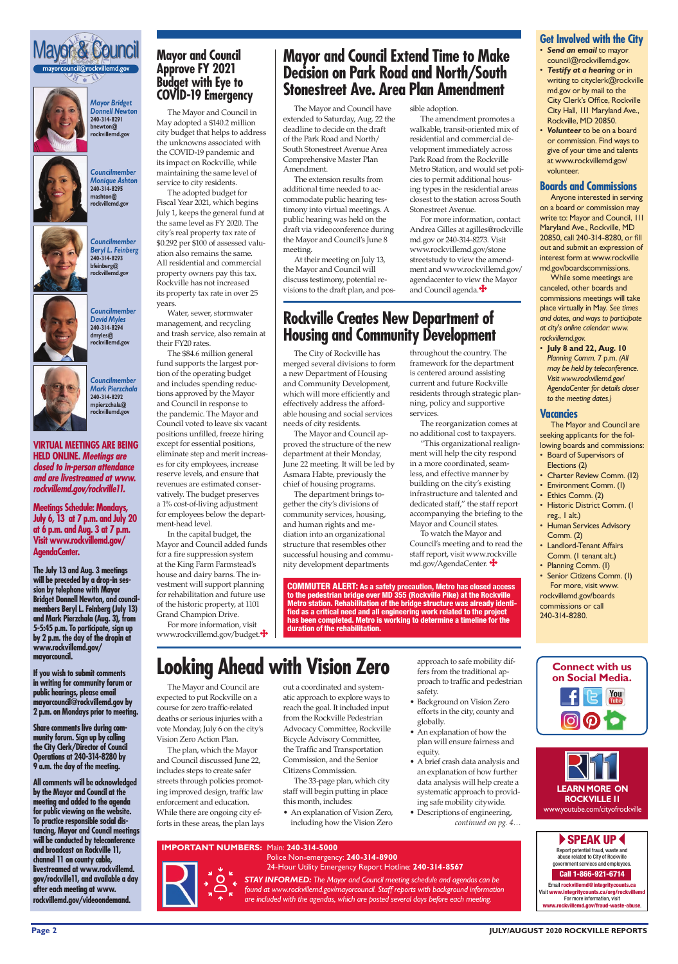#### **Page 2 JULY/AUGUST 2020 ROCKVILLE REPORTS**

*STAY INFORMED: The Mayor and Council meeting schedule and agendas can be found at www.rockvillemd.gov/mayorcouncil. Staff reports with background information are included with the agendas, which are posted several days before each meeting.* 

*Mayor Bridget Donnell Newton* **240-314-8291 bnewton@ rockvillemd.gov**



*Councilmember Monique Ashton* **240-314-8295 mashton@ rockvillemd.gov**



*Councilmember David Myles* **240-314-8294 dmyles@ rockvillemd.gov**



*Councilmember Mark Pierzchala* **240-314-8292 mpierzchala@ rockvillemd.gov**





**Meetings Schedule: Mondays, July 6, 13 at 7 p.m. and July 20 at 6 p.m. and Aug. 3 at 7 p.m. Visit www.rockvillemd.gov/ AgendaCenter.** 

**The July 13 and Aug. 3 meetings will be preceded by a drop-in session by telephone with Mayor Bridget Donnell Newton, and councilmembers Beryl L. Feinberg (July 13) and Mark Pierzchala (Aug. 3), from 5-5:45 p.m. To participate, sign up by 2 p.m. the day of the dropin at www.rockvillemd.gov/ mayorcouncil.**

**If you wish to submit comments in writing for community forum or public hearings, please email mayorcouncil@rockvillemd.gov by 2 p.m. on Mondays prior to meeting.** 

**Share comments live during community forum. Sign up by calling the City Clerk/Director of Council** 

### **Operations at 240-314-8280 by 9 a.m. the day of the meeting.**

- Board of Supervisors of Elections (2)
- Charter Review Comm. (12)
- Environment Comm. (1)
- Ethics Comm. (2)
- Historic District Comm. (1 reg., 1 alt.)
- Human Services Advisory Comm. (2)
- Landlord-Tenant Affairs Comm. (1 tenant alt.)
- Planning Comm. (I)

**All comments will be acknowledged by the Mayor and Council at the meeting and added to the agenda for public viewing on the website. To practice responsible social distancing, Mayor and Council meetings will be conducted by teleconference and broadcast on Rockville 11, channel 11 on county cable, livestreamed at www.rockvillemd. gov/rockville11, and available a day after each meeting at www. rockvillemd.gov/videoondemand.**

**P SPEAK UP <** Report potential fraud, waste and

Email rockvillemd@integritycounts.ca Visit www.integritycounts.ca/org/rockvil For more information, visit ww.rockvillemd.gov/fraud-waste-abuse

### **Get Involved with the City**

- *Send an email* to mayor council@rockvillemd.gov.
- *Testify at a hearing* or in writing to cityclerk@rockville md.gov or by mail to the City Clerk's Office, Rockville City Hall, 111 Maryland Ave., Rockville, MD 20850.
- *Volunteer* to be on a board or commission. Find ways to give of your time and talents at www.rockvillemd.gov/ volunteer.

### **Boards and Commissions**

Anyone interested in serving on a board or commission may write to: Mayor and Council, 111 Maryland Ave., Rockville, MD 20850, call 240-314-8280, or fill out and submit an expression of interest form at www.rockville md.gov/boardscommissions.

While some meetings are canceled, other boards and commissions meetings will take place virtually in May. *See times and dates, and ways to participate at city's online calendar: www. rockvillemd.gov.*

• **July 8 and 22, Aug. 10**  *Planning Comm.* 7 p.m. *(All may be held by teleconference. Visit www.rockvillemd.gov/ AgendaCenter for details closer to the meeting dates.)*

### **Vacancies**

The Mayor and Council are seeking applicants for the following boards and commissions:

For more information, visit www.rockvillemd.gov/budget. $\clubsuit$  • Senior Citizens Comm. (1) For more, visit www. rockvillemd.gov/boards commissions or call 240-314-8280.

> abuse related to City of Rockville government services and employees.

### Call 1-866-921-6714





### **IMPORTANT NUMBERS:** Main: **240-314-5000**



Police Non-emergency: **240-314-8900** 24-Hour Utility Emergency Report Hotline: **240-314-8567**

The Mayor and Council are expected to put Rockville on a course for zero traffic-related deaths or serious injuries with a vote Monday, July 6 on the city's Vision Zero Action Plan.

The plan, which the Mayor

and Council discussed June 22, includes steps to create safer streets through policies promoting improved design, traffic law enforcement and education. While there are ongoing city efforts in these areas, the plan lays

## **Looking Ahead with Vision Zero**

out a coordinated and systematic approach to explore ways to reach the goal. It included input from the Rockville Pedestrian Advocacy Committee, Rockville Bicycle Advisory Committee, the Traffic and Transportation

Commission, and the Senior Citizens Commission.

The 33-page plan, which city staff will begin putting in place this month, includes:

### **Mayor and Council Approve FY 2021 Budget with Eye to COVID-19 Emergency**

The Mayor and Council in May adopted a \$140.2 million city budget that helps to address the unknowns associated with the COVID-19 pandemic and its impact on Rockville, while maintaining the same level of service to city residents.

The adopted budget for Fiscal Year 2021, which begins July 1, keeps the general fund at the same level as FY 2020. The city's real property tax rate of \$0.292 per \$100 of assessed valuation also remains the same. All residential and commercial property owners pay this tax. Rockville has not increased its property tax rate in over 25 years.

Water, sewer, stormwater management, and recycling and trash service, also remain at their FY20 rates.

The \$84.6 million general fund supports the largest portion of the operating budget and includes spending reductions approved by the Mayor and Council in response to the pandemic. The Mayor and Council voted to leave six vacant positions unfilled, freeze hiring except for essential positions, eliminate step and merit increases for city employees, increase reserve levels, and ensure that revenues are estimated conservatively. The budget preserves a 1% cost-of-living adjustment for employees below the department-head level.

In the capital budget, the Mayor and Council added funds for a fire suppression system at the King Farm Farmstead's house and dairy barns. The investment will support planning for rehabilitation and future use of the historic property, at 1101 Grand Champion Drive.

The Mayor and Council have extended to Saturday, Aug. 22 the deadline to decide on the draft of the Park Road and North/ South Stonestreet Avenue Area Comprehensive Master Plan Amendment.

The extension results from additional time needed to accommodate public hearing testimony into virtual meetings. A public hearing was held on the draft via videoconference during the Mayor and Council's June 8 meeting.

At their meeting on July 13, the Mayor and Council will discuss testimony, potential revisions to the draft plan, and pos-

### **Mayor and Council Extend Time to Make Decision on Park Road and North/South Stonestreet Ave. Area Plan Amendment**

sible adoption.

The amendment promotes a walkable, transit-oriented mix of residential and commercial development immediately across Park Road from the Rockville Metro Station, and would set policies to permit additional housing types in the residential areas closest to the station across South Stonestreet Avenue.

- An explanation of Vision Zero, including how the Vision Zero
- 
- A brief crash data analysis and an explanation of how further data analysis will help create a systematic approach to providing safe mobility citywide.
- Descriptions of engineering, *continued on pg. 4…*

For more information, contact Andrea Gilles at agilles@rockville md.gov or 240-314-8273. Visit www.rockvillemd.gov/stone streetstudy to view the amendment and www.rockvillemd.gov/ agendacenter to view the Mayor and Council agenda.

The City of Rockville has merged several divisions to form a new Department of Housing and Community Development, which will more efficiently and effectively address the affordable housing and social services needs of city residents.

The Mayor and Council approved the structure of the new department at their Monday, June 22 meeting. It will be led by Asmara Habte, previously the chief of housing programs.

The department brings together the city's divisions of community services, housing, and human rights and mediation into an organizational structure that resembles other successful housing and community development departments

### **Rockville Creates New Department of Housing and Community Development**

throughout the country. The framework for the department is centered around assisting current and future Rockville residents through strategic planning, policy and supportive services.

The reorganization comes at no additional cost to taxpayers.

"This organizational realignment will help the city respond in a more coordinated, seamless, and effective manner by building on the city's existing infrastructure and talented and dedicated staff," the staff report accompanying the briefing to the Mayor and Council states.

To watch the Mayor and Council's meeting and to read the staff report, visit www.rockville md.gov/AgendaCenter.

approach to safe mobility differs from the traditional approach to traffic and pedestrian safety.

- Background on Vision Zero efforts in the city, county and globally.
- An explanation of how the plan will ensure fairness and equity.

COMMUTER ALERT: As a safety precaution, Metro has closed access to the pedestrian bridge over MD 355 (Rockville Pike) at the Rockville Metro station. Rehabilitation of the bridge structure was already identified as a critical need and all engineering work related to the project has been completed. Metro is working to determine a timeline for the duration of the rehabilitation.

**VIRTUAL MEETINGS ARE BEING HELD ONLINE.** *Meetings are closed to in-person attendance and are livestreamed at www. rockvillemd.gov/rockville11.*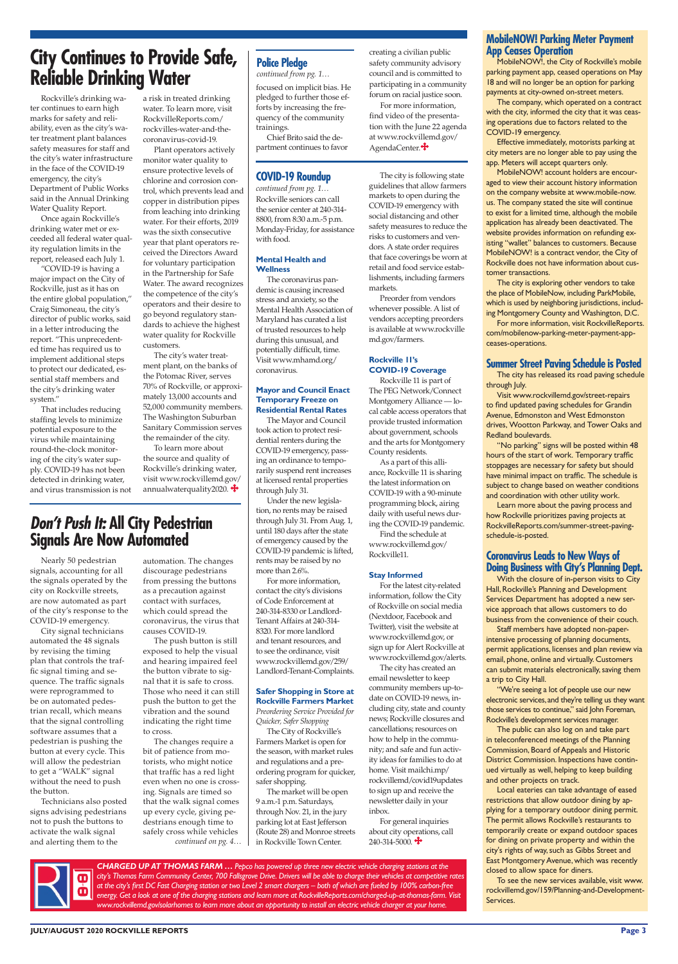#### **JULY/AUGUST 2020 ROCKVILLE REPORTS Page 3**

*CHARGED UP AT THOMAS FARM … Pepco has powered up three new electric vehicle charging stations at the city's Thomas Farm Community Center, 700 Fallsgrove Drive. Drivers will be able to charge their vehicles at competitive rates at the city's first DC Fast Charging station or two Level 2 smart chargers – both of which are fueled by 100% carbon-free energy. Get a look at one of the charging stations and learn more at RockvilleReports.com/charged-up-at-thomas-farm. Visit www.rockvillemd.gov/solarhomes to learn more about an opportunity to install an electric vehicle charger at your home.*

### **MobileNOW! Parking Meter Payment App Ceases Operation**

MobileNOW!, the City of Rockville's mobile parking payment app, ceased operations on May 18 and will no longer be an option for parking payments at city-owned on-street meters.

The company, which operated on a contract with the city, informed the city that it was ceasing operations due to factors related to the COVID-19 emergency.

Effective immediately, motorists parking at city meters are no longer able to pay using the app. Meters will accept quarters only.

MobileNOW! account holders are encouraged to view their account history information on the company website at www.mobile-now. us. The company stated the site will continue to exist for a limited time, although the mobile application has already been deactivated. The website provides information on refunding existing "wallet" balances to customers. Because MobileNOW! is a contract vendor, the City of Rockville does not have information about customer transactions.

The city is exploring other vendors to take the place of MobileNow, including ParkMobile, which is used by neighboring jurisdictions, including Montgomery County and Washington, D.C.

For more information, visit RockvilleReports. com/mobilenow-parking-meter-payment-appceases-operations.

### **Summer Street Paving Schedule is Posted**

The city has released its road paving schedule through July.

Visit www.rockvillemd.gov/street-repairs to find updated paving schedules for Grandin Avenue, Edmonston and West Edmonston drives, Wootton Parkway, and Tower Oaks and Redland boulevards.

"No parking" signs will be posted within 48 hours of the start of work. Temporary traffic stoppages are necessary for safety but should have minimal impact on traffic. The schedule is subject to change based on weather conditions and coordination with other utility work.

Learn more about the paving process and how Rockville prioritizes paving projects at RockvilleReports.com/summer-street-pavingschedule-is-posted.

### **Coronavirus Leads to New Ways of Doing Business with City's Planning Dept.**

With the closure of in-person visits to City Hall, Rockville's Planning and Development Services Department has adopted a new service approach that allows customers to do business from the convenience of their couch.

Staff members have adopted non-paperintensive processing of planning documents, permit applications, licenses and plan review via email, phone, online and virtually. Customers can submit materials electronically, saving them a trip to City Hall.

To learn more about the source and quality of Rockville's drinking water, visit www.rockvillemd.gov/ annualwaterquality2020.

> "We're seeing a lot of people use our new electronic services, and they're telling us they want those services to continue," said John Foreman, Rockville's development services manager.

The public can also log on and take part in teleconferenced meetings of the Planning Commission, Board of Appeals and Historic District Commission. Inspections have continued virtually as well, helping to keep building and other projects on track.

Local eateries can take advantage of eased restrictions that allow outdoor dining by applying for a temporary outdoor dining permit. The permit allows Rockville's restaurants to temporarily create or expand outdoor spaces for dining on private property and within the city's rights of way, such as Gibbs Street and East Montgomery Avenue, which was recently closed to allow space for diners.

To see the new services available, visit www. rockvillemd.gov/159/Planning-and-Development-Services.

 $\mathbf \Omega$ 

For more information, find video of the presentation with the June 22 agenda at www.rockvillemd.gov/ AgendaCenter.<sup>+</sup>

Rockville's drinking water continues to earn high marks for safety and reliability, even as the city's water treatment plant balances safety measures for staff and the city's water infrastructure in the face of the COVID-19 emergency, the city's Department of Public Works said in the Annual Drinking Water Quality Report.

Once again Rockville's drinking water met or exceeded all federal water quality regulation limits in the report, released each July 1.

"COVID-19 is having a major impact on the City of Rockville, just as it has on the entire global population," Craig Simoneau, the city's director of public works, said in a letter introducing the report. "This unprecedented time has required us to implement additional steps to protect our dedicated, essential staff members and the city's drinking water system."

That includes reducing staffing levels to minimize potential exposure to the virus while maintaining round-the-clock monitoring of the city's water supply. COVID-19 has not been detected in drinking water, and virus transmission is not

## **City Continues to Provide Safe, Reliable Drinking Water**

a risk in treated drinking water. To learn more, visit RockvilleReports.com/ rockvilles-water-and-thecoronavirus-covid-19.

Plant operators actively monitor water quality to ensure protective levels of chlorine and corrosion control, which prevents lead and copper in distribution pipes from leaching into drinking water. For their efforts, 2019 was the sixth consecutive year that plant operators received the Directors Award for voluntary participation in the Partnership for Safe Water. The award recognizes the competence of the city's operators and their desire to go beyond regulatory standards to achieve the highest water quality for Rockville customers.

> For general inquiries about city operations, call  $240 - 314 - 5000$ .

The city's water treatment plant, on the banks of the Potomac River, serves 70% of Rockville, or approximately 13,000 accounts and 52,000 community members. The Washington Suburban Sanitary Commission serves the remainder of the city.

Nearly 50 pedestrian signals, accounting for all the signals operated by the city on Rockville streets, are now automated as part of the city's response to the COVID-19 emergency.

City signal technicians automated the 48 signals by revising the timing plan that controls the traffic signal timing and sequence. The traffic signals were reprogrammed to be on automated pedestrian recall, which means that the signal controlling software assumes that a pedestrian is pushing the button at every cycle. This will allow the pedestrian to get a "WALK" signal without the need to push the button. Technicians also posted signs advising pedestrians not to push the buttons to activate the walk signal and alerting them to the

### *Don't Push It:* **All City Pedestrian Signals Are Now Automated**

automation. The changes discourage pedestrians from pressing the buttons as a precaution against contact with surfaces, which could spread the coronavirus, the virus that causes COVID-19.

The push button is still exposed to help the visual and hearing impaired feel the button vibrate to signal that it is safe to cross. Those who need it can still push the button to get the vibration and the sound indicating the right time to cross.

The changes require a bit of patience from m torists, who might notice that traffic has a red light even when no one is crossing. Signals are timed so that the walk signal comes up every cycle, giving pedestrians enough time to safely cross while vehicles *continued on pg. 4…* focused on implicit bias. He pledged to further those efforts by increasing the frequency of the community trainings.

Chief Brito said the department continues to favor

### **Police Pledge**

*continued from pg. 1…*

creating a civilian public safety community advisory council and is committed to participating in a community forum on racial justice soon.

### **COVID-19 Roundup**

*continued from pg. 1…* Rockville seniors can call the senior center at 240-314- 8800, from 8:30 a.m.-5 p.m. Monday-Friday, for assistance with food.

#### **Mental Health and Wellness**

The coronavirus pandemic is causing increased stress and anxiety, so the Mental Health Association of Maryland has curated a list of trusted resources to help during this unusual, and potentially difficult, time. Visit www.mhamd.org/ coronavirus.

### **Mayor and Council Enact Temporary Freeze on Residential Rental Rates**

The Mayor and Council took action to protect residential renters during the COVID-19 emergency, passing an ordinance to temporarily suspend rent increases at licensed rental properties through July 31.

Under the new legislation, no rents may be raised through July 31. From Aug. 1, until 180 days after the state of emergency caused by the COVID-19 pandemic is lifted, rents may be raised by no more than 2.6%.

For more information, contact the city's divisions of Code Enforcement at 240-314-8330 or Landlord-Tenant Affairs at 240-314- 8320. For more landlord and tenant resources, and to see the ordinance, visit www.rockvillemd.gov/259/ Landlord-Tenant-Complaints.

### **Safer Shopping in Store at Rockville Farmers Market**

*Preordering Service Provided for Quicker, Safer Shopping*

The City of Rockville's Farmers Market is open for the season, with market rules and regulations and a preordering program for quicker, safer shopping. The market will be open 9 a.m.-1 p.m. Saturdays, through Nov. 21, in the jury parking lot at East Jefferson (Route 28) and Monroe streets in Rockville Town Center.

The city is following state guidelines that allow farmers markets to open during the COVID-19 emergency with social distancing and other safety measures to reduce the risks to customers and vendors. A state order requires that face coverings be worn at retail and food service establishments, including farmers markets.

Preorder from vendors whenever possible. A list of vendors accepting preorders is available at www.rockville md.gov/farmers.

### **Rockville 11's COVID-19 Coverage**

Rockville 11 is part of

The PEG Network/Connect Montgomery Alliance — local cable access operators that provide trusted information about government, schools and the arts for Montgomery County residents.

As a part of this alliance, Rockville 11 is sharing the latest information on COVID-19 with a 90-minute programming block, airing daily with useful news during the COVID-19 pandemic.

Find the schedule at www.rockvillemd.gov/ Rockville11.

### **Stay Informed**

For the latest city-related information, follow the City of Rockville on social media (Nextdoor, Facebook and Twitter), visit the website at www.rockvillemd.gov, or sign up for Alert Rockville at www.rockvillemd.gov/alerts.

The city has created an email newsletter to keep community members up-todate on COVID-19 news, including city, state and county news; Rockville closures and cancellations; resources on how to help in the community; and safe and fun activity ideas for families to do at home. Visit mailchi.mp/ rockvillemd/covid19updates to sign up and receive the newsletter daily in your inbox.